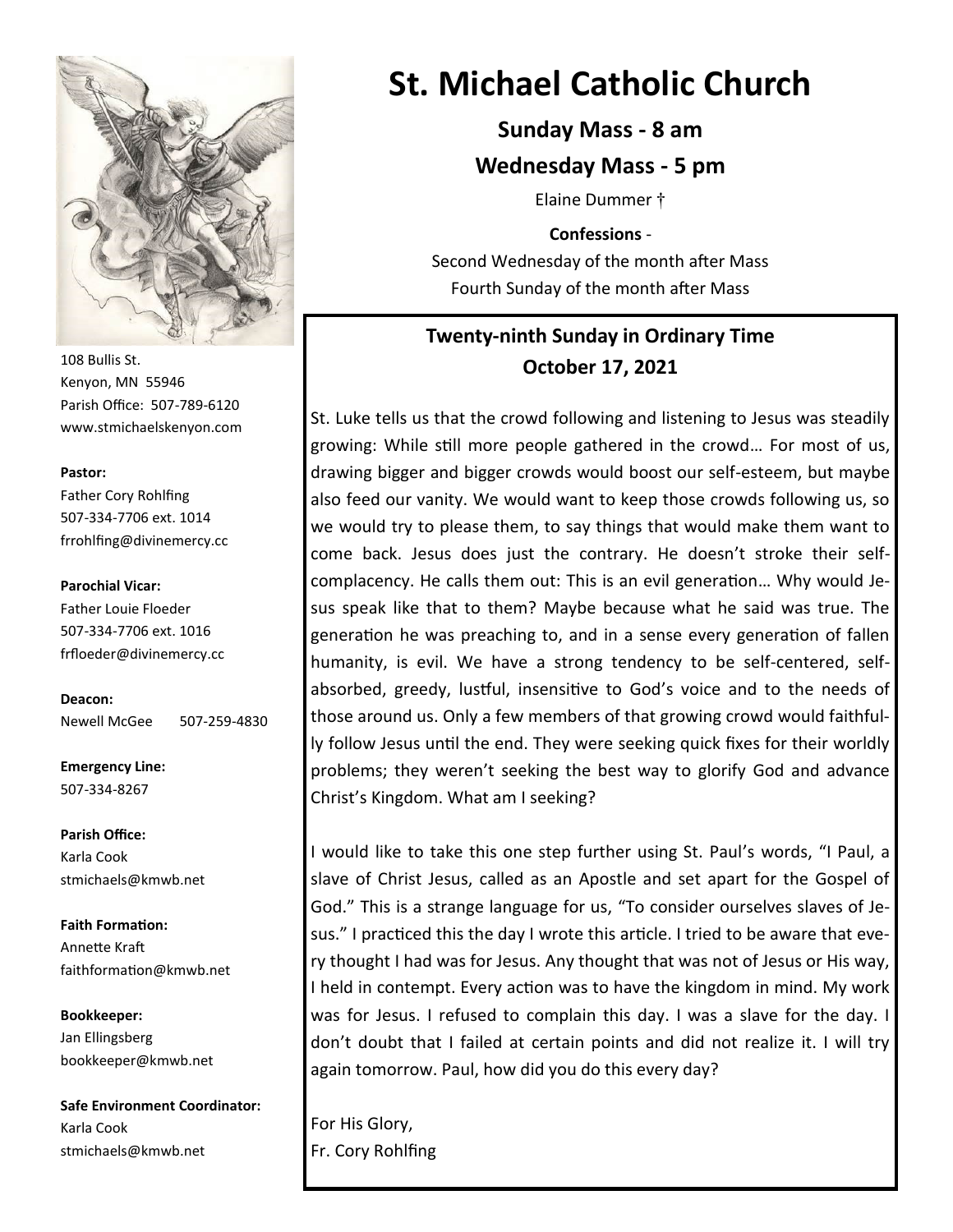

108 Bullis St. Kenyon, MN 55946 Parish Office: 507-789-6120 www.stmichaelskenyon.com

#### **Pastor:**

Father Cory Rohlfing 507-334-7706 ext. 1014 frrohlfing@divinemercy.cc

#### **Parochial Vicar:**

Father Louie Floeder 507-334-7706 ext. 1016 frfloeder@divinemercy.cc

**Deacon:**  Newell McGee 507-259-4830

**Emergency Line:** 507-334-8267

**Parish Office:**  Karla Cook stmichaels@kmwb.net

**Faith Formation:**  Annette Kraft faithformation@kmwb.net

**Bookkeeper:**  Jan Ellingsberg bookkeeper@kmwb.net

**Safe Environment Coordinator:** Karla Cook stmichaels@kmwb.net

# **St. Michael Catholic Church**

**Sunday Mass - 8 am**

**Wednesday Mass - 5 pm**

Elaine Dummer †

**Confessions** - Second Wednesday of the month after Mass Fourth Sunday of the month after Mass

# **Twenty-ninth Sunday in Ordinary Time October 17, 2021**

St. Luke tells us that the crowd following and listening to Jesus was steadily growing: While still more people gathered in the crowd… For most of us, drawing bigger and bigger crowds would boost our self-esteem, but maybe also feed our vanity. We would want to keep those crowds following us, so we would try to please them, to say things that would make them want to come back. Jesus does just the contrary. He doesn't stroke their selfcomplacency. He calls them out: This is an evil generation… Why would Jesus speak like that to them? Maybe because what he said was true. The generation he was preaching to, and in a sense every generation of fallen humanity, is evil. We have a strong tendency to be self-centered, selfabsorbed, greedy, lustful, insensitive to God's voice and to the needs of those around us. Only a few members of that growing crowd would faithfully follow Jesus until the end. They were seeking quick fixes for their worldly problems; they weren't seeking the best way to glorify God and advance Christ's Kingdom. What am I seeking?

I would like to take this one step further using St. Paul's words, "I Paul, a slave of Christ Jesus, called as an Apostle and set apart for the Gospel of God." This is a strange language for us, "To consider ourselves slaves of Jesus." I practiced this the day I wrote this article. I tried to be aware that every thought I had was for Jesus. Any thought that was not of Jesus or His way, I held in contempt. Every action was to have the kingdom in mind. My work was for Jesus. I refused to complain this day. I was a slave for the day. I don't doubt that I failed at certain points and did not realize it. I will try again tomorrow. Paul, how did you do this every day?

For His Glory, Fr. Cory Rohlfing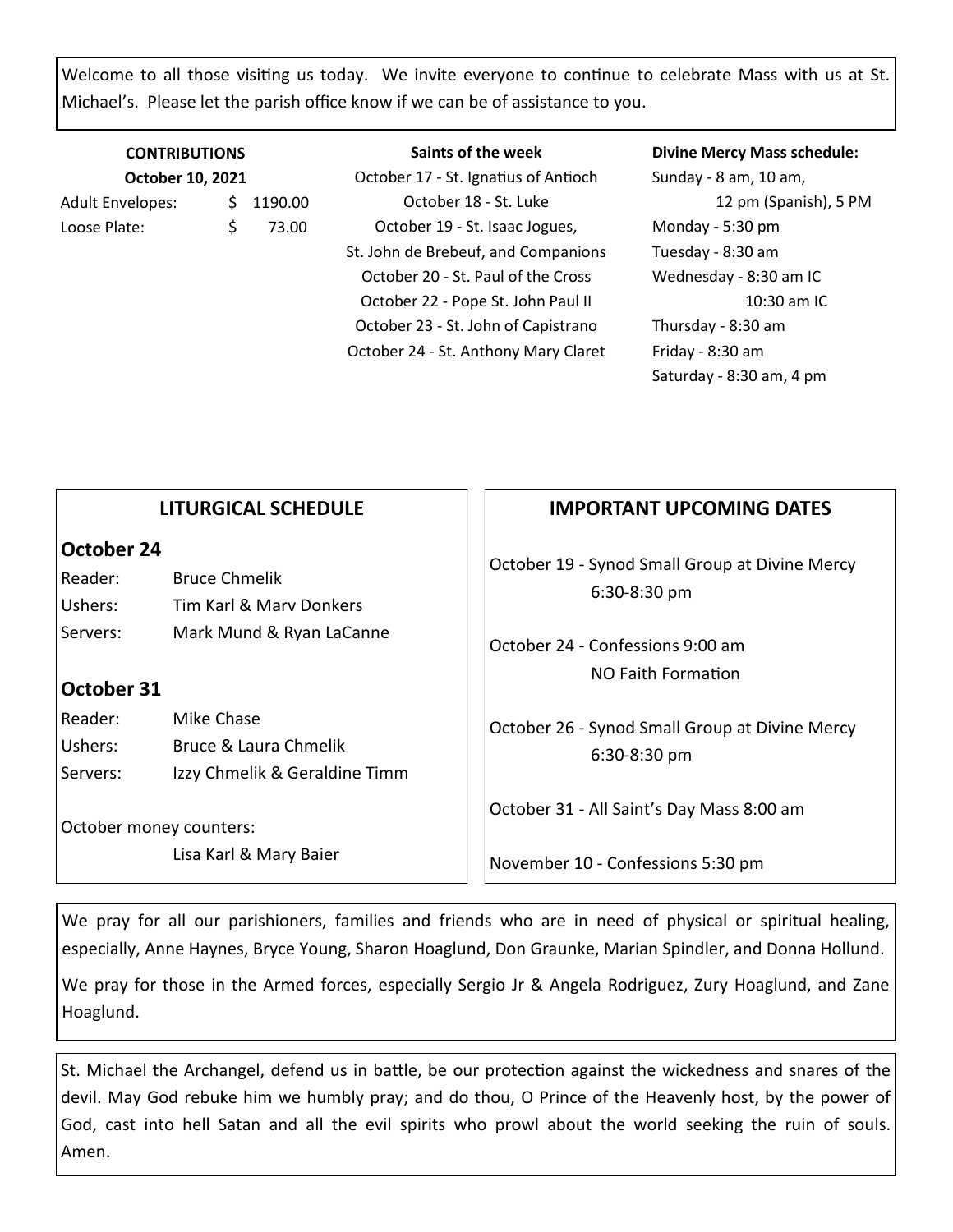Welcome to all those visiting us today. We invite everyone to continue to celebrate Mass with us at St. Michael's. Please let the parish office know if we can be of assistance to you.

| <b>CONTRIBUTIONS</b>    |   |           |  |
|-------------------------|---|-----------|--|
| October 10, 2021        |   |           |  |
| <b>Adult Envelopes:</b> |   | \$1190.00 |  |
| Loose Plate:            | ς | 73.00     |  |

**Saints of the week** October 17 - St. Ignatius of Antioch October 18 - St. Luke October 19 - St. Isaac Jogues, St. John de Brebeuf, and Companions October 20 - St. Paul of the Cross October 22 - Pope St. John Paul II October 23 - St. John of Capistrano October 24 - St. Anthony Mary Claret **Divine Mercy Mass schedule:**

Sunday - 8 am, 10 am, 12 pm (Spanish), 5 PM Monday - 5:30 pm Tuesday - 8:30 am Wednesday - 8:30 am IC 10:30 am IC Thursday - 8:30 am Friday - 8:30 am Saturday - 8:30 am, 4 pm

| <b>LITURGICAL SCHEDULE</b> |  |
|----------------------------|--|
|----------------------------|--|

## **October 24**

| Reader:  | <b>Bruce Chmelik</b>     |
|----------|--------------------------|
| Ushers:  | Tim Karl & Mary Donkers  |
| Servers: | Mark Mund & Ryan LaCanne |

## **October 31**

Reader: Mike Chase Ushers: Bruce & Laura Chmelik Servers: Izzy Chmelik & Geraldine Timm

October money counters:

Lisa Karl & Mary Baier

## **IMPORTANT UPCOMING DATES**

October 19 - Synod Small Group at Divine Mercy 6:30-8:30 pm

October 24 - Confessions 9:00 am NO Faith Formation

October 26 - Synod Small Group at Divine Mercy 6:30-8:30 pm

October 31 - All Saint's Day Mass 8:00 am

November 10 - Confessions 5:30 pm

We pray for all our parishioners, families and friends who are in need of physical or spiritual healing, especially, Anne Haynes, Bryce Young, Sharon Hoaglund, Don Graunke, Marian Spindler, and Donna Hollund.

We pray for those in the Armed forces, especially Sergio Jr & Angela Rodriguez, Zury Hoaglund, and Zane Hoaglund.

St. Michael the Archangel, defend us in battle, be our protection against the wickedness and snares of the devil. May God rebuke him we humbly pray; and do thou, O Prince of the Heavenly host, by the power of God, cast into hell Satan and all the evil spirits who prowl about the world seeking the ruin of souls. Amen.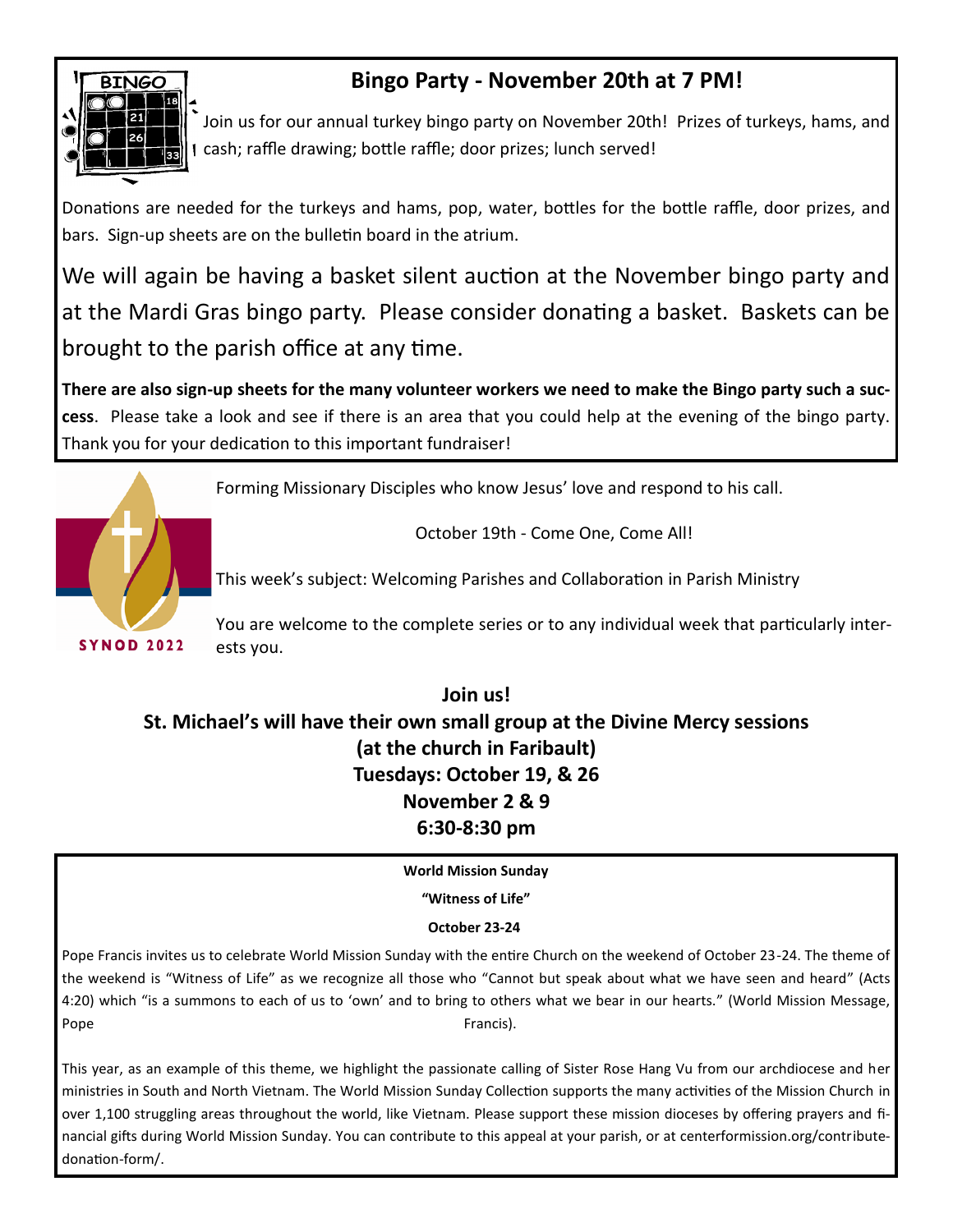

**SYNOD 2022** 

# **Bingo Party - November 20th at 7 PM!**

Join us for our annual turkey bingo party on November 20th! Prizes of turkeys, hams, and cash; raffle drawing; bottle raffle; door prizes; lunch served!

Donations are needed for the turkeys and hams, pop, water, bottles for the bottle raffle, door prizes, and bars. Sign-up sheets are on the bulletin board in the atrium.

We will again be having a basket silent auction at the November bingo party and at the Mardi Gras bingo party. Please consider donating a basket. Baskets can be brought to the parish office at any time.

**There are also sign-up sheets for the many volunteer workers we need to make the Bingo party such a success**. Please take a look and see if there is an area that you could help at the evening of the bingo party. Thank you for your dedication to this important fundraiser!



October 19th - Come One, Come All!

This week's subject: Welcoming Parishes and Collaboration in Parish Ministry

You are welcome to the complete series or to any individual week that particularly interests you.

**Join us! St. Michael's will have their own small group at the Divine Mercy sessions (at the church in Faribault) Tuesdays: October 19, & 26 November 2 & 9 6:30-8:30 pm**

**World Mission Sunday** 

**"Witness of Life"**

#### **October 23-24**

Pope Francis invites us to celebrate World Mission Sunday with the entire Church on the weekend of October 23-24. The theme of the weekend is "Witness of Life" as we recognize all those who "Cannot but speak about what we have seen and heard" (Acts 4:20) which "is a summons to each of us to 'own' and to bring to others what we bear in our hearts." (World Mission Message, Pope Francis).

This year, as an example of this theme, we highlight the passionate calling of Sister Rose Hang Vu from our archdiocese and her ministries in South and North Vietnam. The World Mission Sunday Collection supports the many activities of the Mission Church in over 1,100 struggling areas throughout the world, like Vietnam. Please support these mission dioceses by offering prayers and financial gifts during World Mission Sunday. You can contribute to this appeal at your parish, or at centerformission.org/contributedonation-form/.